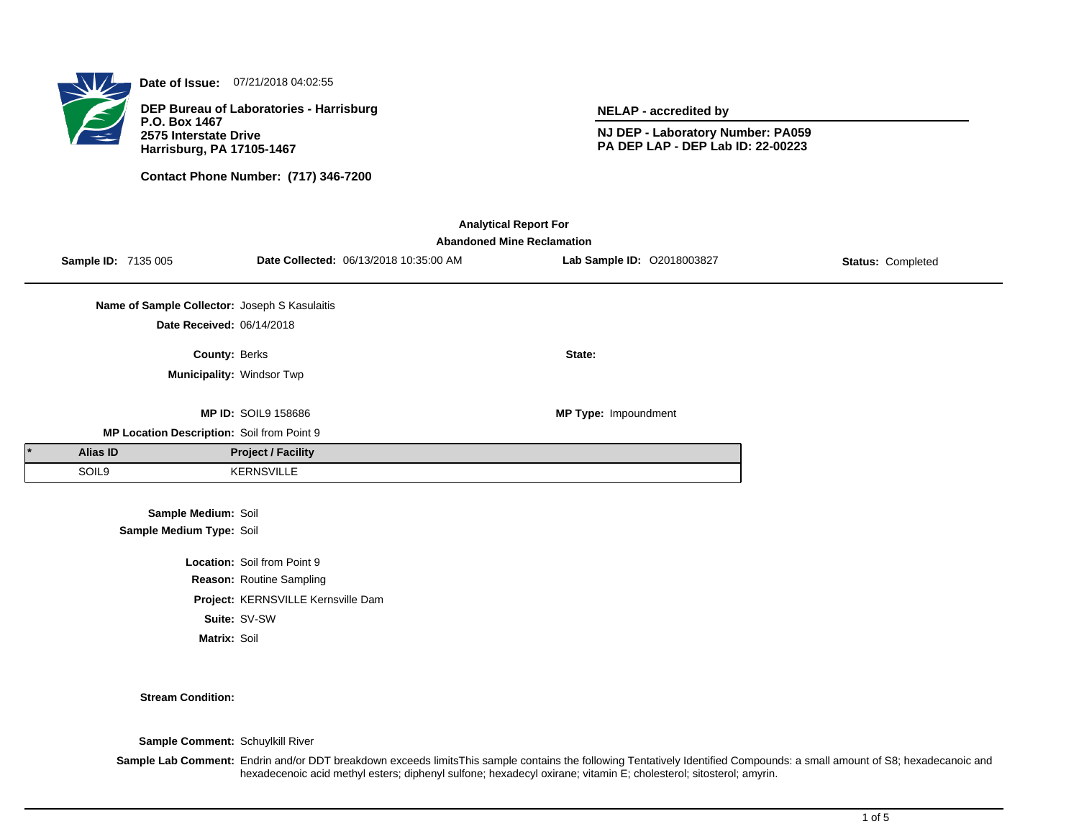

**Date of Issue:** 07/21/2018 04:02:55

**DEP Bureau of Laboratories - Harrisburg P.O. Box 1467 2575 Interstate Drive Harrisburg, PA 17105-1467**

**Contact Phone Number: (717) 346-7200**

**NELAP - accredited by**

**NJ DEP - Laboratory Number: PA059 PA DEP LAP - DEP Lab ID: 22-00223**

| <b>Analytical Report For</b><br><b>Abandoned Mine Reclamation</b> |                 |                                                 |                                    |                                        |                            |                   |  |
|-------------------------------------------------------------------|-----------------|-------------------------------------------------|------------------------------------|----------------------------------------|----------------------------|-------------------|--|
|                                                                   |                 | Sample ID: 7135 005                             |                                    | Date Collected: 06/13/2018 10:35:00 AM | Lab Sample ID: 02018003827 | Status: Completed |  |
|                                                                   |                 | Name of Sample Collector: Joseph S Kasulaitis   |                                    |                                        |                            |                   |  |
|                                                                   |                 | Date Received: 06/14/2018                       |                                    |                                        |                            |                   |  |
|                                                                   |                 | County: Berks                                   |                                    |                                        | State:                     |                   |  |
|                                                                   |                 | Municipality: Windsor Twp                       |                                    |                                        |                            |                   |  |
|                                                                   |                 |                                                 | <b>MP ID: SOIL9 158686</b>         |                                        | MP Type: Impoundment       |                   |  |
|                                                                   |                 | MP Location Description: Soil from Point 9      |                                    |                                        |                            |                   |  |
|                                                                   | <b>Alias ID</b> |                                                 | <b>Project / Facility</b>          |                                        |                            |                   |  |
|                                                                   | SOIL9           |                                                 | <b>KERNSVILLE</b>                  |                                        |                            |                   |  |
|                                                                   |                 | Sample Medium: Soil<br>Sample Medium Type: Soil |                                    |                                        |                            |                   |  |
|                                                                   |                 |                                                 | Location: Soil from Point 9        |                                        |                            |                   |  |
|                                                                   |                 |                                                 | Reason: Routine Sampling           |                                        |                            |                   |  |
|                                                                   |                 |                                                 | Project: KERNSVILLE Kernsville Dam |                                        |                            |                   |  |
|                                                                   |                 |                                                 | Suite: SV-SW                       |                                        |                            |                   |  |
|                                                                   |                 | Matrix: Soil                                    |                                    |                                        |                            |                   |  |

#### **Stream Condition:**

**Sample Comment:** Schuylkill River

**Sample Lab Comment:** Endrin and/or DDT breakdown exceeds limitsThis sample contains the following Tentatively Identified Compounds: a small amount of S8; hexadecanoic and hexadecenoic acid methyl esters; diphenyl sulfone; hexadecyl oxirane; vitamin E; cholesterol; sitosterol; amyrin.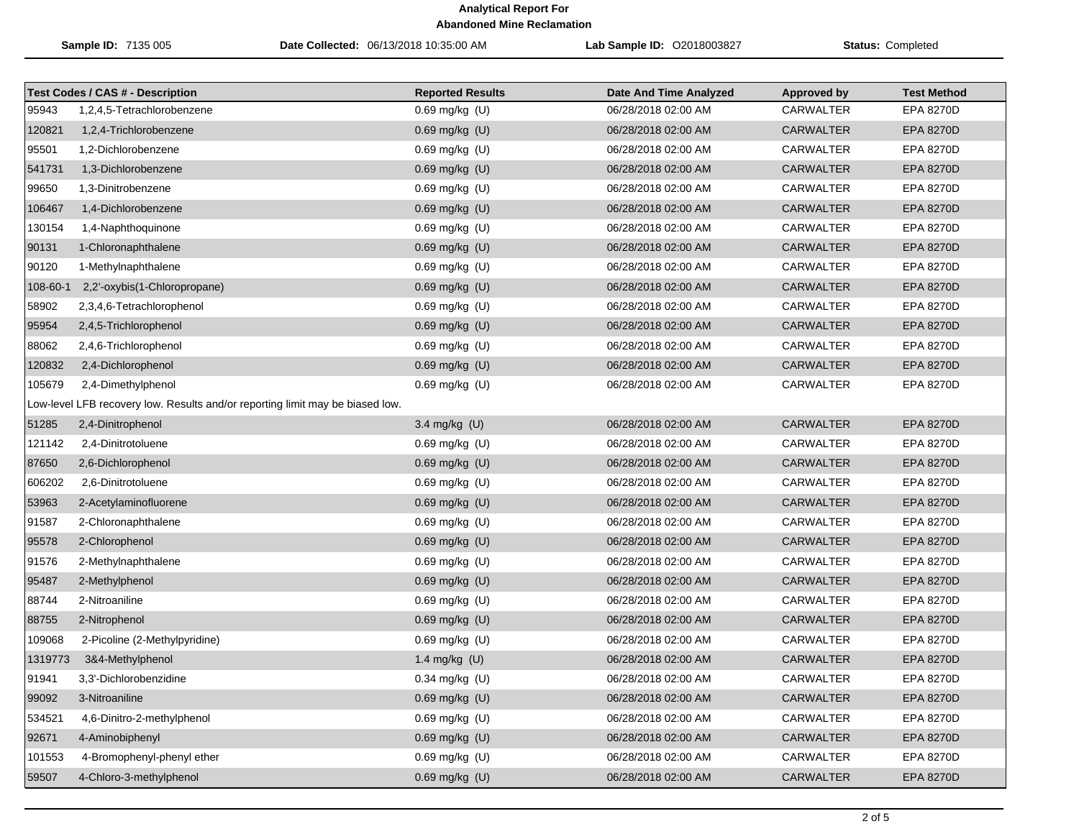|          | Sample ID: 7135 005                                                           | Date Collected: 06/13/2018 10:35:00 AM | Lab Sample ID: 02018003827 | Status: Completed  |                    |
|----------|-------------------------------------------------------------------------------|----------------------------------------|----------------------------|--------------------|--------------------|
|          | <b>Test Codes / CAS # - Description</b>                                       | <b>Reported Results</b>                | Date And Time Analyzed     | <b>Approved by</b> | <b>Test Method</b> |
| 95943    | 1,2,4,5-Tetrachlorobenzene                                                    | 0.69 mg/kg (U)                         | 06/28/2018 02:00 AM        | <b>CARWALTER</b>   | EPA 8270D          |
| 120821   | 1,2,4-Trichlorobenzene                                                        | $0.69$ mg/kg $(U)$                     | 06/28/2018 02:00 AM        | <b>CARWALTER</b>   | <b>EPA 8270D</b>   |
| 95501    | 1,2-Dichlorobenzene                                                           | $0.69$ mg/kg (U)                       | 06/28/2018 02:00 AM        | CARWALTER          | EPA 8270D          |
| 541731   | 1,3-Dichlorobenzene                                                           | 0.69 mg/kg (U)                         | 06/28/2018 02:00 AM        | <b>CARWALTER</b>   | <b>EPA 8270D</b>   |
| 99650    | 1,3-Dinitrobenzene                                                            | 0.69 mg/kg (U)                         | 06/28/2018 02:00 AM        | <b>CARWALTER</b>   | EPA 8270D          |
| 106467   | 1,4-Dichlorobenzene                                                           | 0.69 mg/kg (U)                         | 06/28/2018 02:00 AM        | <b>CARWALTER</b>   | <b>EPA 8270D</b>   |
| 130154   | 1,4-Naphthoquinone                                                            | 0.69 mg/kg (U)                         | 06/28/2018 02:00 AM        | CARWALTER          | <b>EPA 8270D</b>   |
| 90131    | 1-Chloronaphthalene                                                           | 0.69 mg/kg (U)                         | 06/28/2018 02:00 AM        | <b>CARWALTER</b>   | <b>EPA 8270D</b>   |
| 90120    | 1-Methylnaphthalene                                                           | 0.69 mg/kg (U)                         | 06/28/2018 02:00 AM        | CARWALTER          | EPA 8270D          |
| 108-60-1 | 2,2'-oxybis(1-Chloropropane)                                                  | 0.69 mg/kg (U)                         | 06/28/2018 02:00 AM        | <b>CARWALTER</b>   | <b>EPA 8270D</b>   |
| 58902    | 2,3,4,6-Tetrachlorophenol                                                     | $0.69$ mg/kg (U)                       | 06/28/2018 02:00 AM        | CARWALTER          | <b>EPA 8270D</b>   |
| 95954    | 2,4,5-Trichlorophenol                                                         | $0.69$ mg/kg $(U)$                     | 06/28/2018 02:00 AM        | <b>CARWALTER</b>   | <b>EPA 8270D</b>   |
| 88062    | 2,4,6-Trichlorophenol                                                         | $0.69$ mg/kg $(U)$                     | 06/28/2018 02:00 AM        | CARWALTER          | EPA 8270D          |
| 120832   | 2,4-Dichlorophenol                                                            | 0.69 mg/kg (U)                         | 06/28/2018 02:00 AM        | <b>CARWALTER</b>   | <b>EPA 8270D</b>   |
| 105679   | 2,4-Dimethylphenol                                                            | 0.69 mg/kg (U)                         | 06/28/2018 02:00 AM        | <b>CARWALTER</b>   | EPA 8270D          |
|          | Low-level LFB recovery low. Results and/or reporting limit may be biased low. |                                        |                            |                    |                    |
| 51285    | 2,4-Dinitrophenol                                                             | 3.4 mg/kg (U)                          | 06/28/2018 02:00 AM        | <b>CARWALTER</b>   | <b>EPA 8270D</b>   |
| 121142   | 2,4-Dinitrotoluene                                                            | 0.69 mg/kg (U)                         | 06/28/2018 02:00 AM        | CARWALTER          | EPA 8270D          |
| 87650    | 2,6-Dichlorophenol                                                            | 0.69 mg/kg (U)                         | 06/28/2018 02:00 AM        | <b>CARWALTER</b>   | <b>EPA 8270D</b>   |
| 606202   | 2,6-Dinitrotoluene                                                            | 0.69 mg/kg (U)                         | 06/28/2018 02:00 AM        | CARWALTER          | EPA 8270D          |
| 53963    | 2-Acetylaminofluorene                                                         | 0.69 mg/kg (U)                         | 06/28/2018 02:00 AM        | <b>CARWALTER</b>   | <b>EPA 8270D</b>   |
| 91587    | 2-Chloronaphthalene                                                           | 0.69 mg/kg (U)                         | 06/28/2018 02:00 AM        | CARWALTER          | <b>EPA 8270D</b>   |
| 95578    | 2-Chlorophenol                                                                | 0.69 mg/kg (U)                         | 06/28/2018 02:00 AM        | <b>CARWALTER</b>   | <b>EPA 8270D</b>   |
| 91576    | 2-Methylnaphthalene                                                           | $0.69$ mg/kg $(U)$                     | 06/28/2018 02:00 AM        | CARWALTER          | <b>EPA 8270D</b>   |
| 95487    | 2-Methylphenol                                                                | 0.69 mg/kg (U)                         | 06/28/2018 02:00 AM        | <b>CARWALTER</b>   | <b>EPA 8270D</b>   |
| 88744    | 2-Nitroaniline                                                                | 0.69 mg/kg (U)                         | 06/28/2018 02:00 AM        | <b>CARWALTER</b>   | <b>EPA 8270D</b>   |
| 88755    | 2-Nitrophenol                                                                 | $0.69$ mg/kg $(U)$                     | 06/28/2018 02:00 AM        | <b>CARWALTER</b>   | <b>EPA 8270D</b>   |
| 109068   | 2-Picoline (2-Methylpyridine)                                                 | 0.69 mg/kg (U)                         | 06/28/2018 02:00 AM        | CARWALTER          | EPA 8270D          |
| 1319773  | 3&4-Methylphenol                                                              | 1.4 mg/kg $(U)$                        | 06/28/2018 02:00 AM        | CARWALTER          | <b>EPA 8270D</b>   |
| 91941    | 3,3'-Dichlorobenzidine                                                        | 0.34 mg/kg (U)                         | 06/28/2018 02:00 AM        | CARWALTER          | EPA 8270D          |
| 99092    | 3-Nitroaniline                                                                | $0.69$ mg/kg $(U)$                     | 06/28/2018 02:00 AM        | CARWALTER          | <b>EPA 8270D</b>   |
| 534521   | 4,6-Dinitro-2-methylphenol                                                    | 0.69 mg/kg (U)                         | 06/28/2018 02:00 AM        | CARWALTER          | EPA 8270D          |
| 92671    | 4-Aminobiphenyl                                                               | 0.69 mg/kg (U)                         | 06/28/2018 02:00 AM        | <b>CARWALTER</b>   | <b>EPA 8270D</b>   |
| 101553   | 4-Bromophenyl-phenyl ether                                                    | 0.69 mg/kg (U)                         | 06/28/2018 02:00 AM        | <b>CARWALTER</b>   | <b>EPA 8270D</b>   |
| 59507    | 4-Chloro-3-methylphenol                                                       | 0.69 mg/kg (U)                         | 06/28/2018 02:00 AM        | CARWALTER          | <b>EPA 8270D</b>   |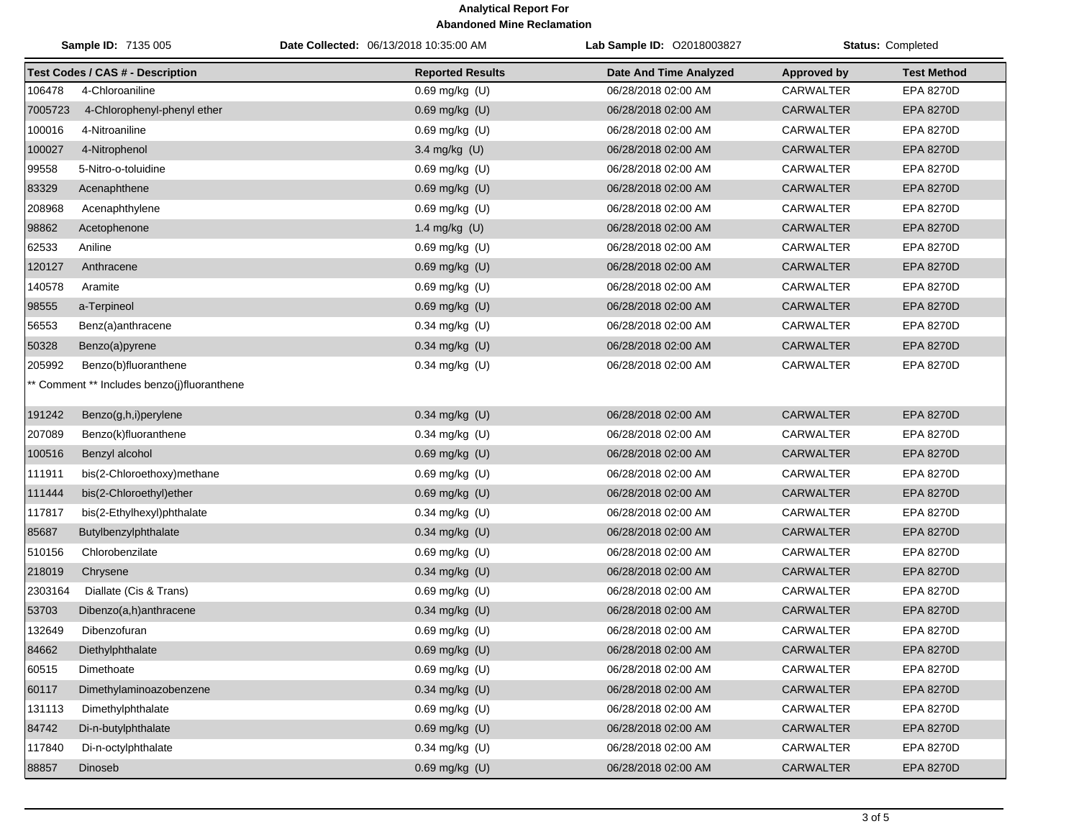| Sample ID: 7135 005 |                                             | Date Collected: 06/13/2018 10:35:00 AM | Lab Sample ID: 02018003827 | Status: Completed  |                    |
|---------------------|---------------------------------------------|----------------------------------------|----------------------------|--------------------|--------------------|
|                     | <b>Test Codes / CAS # - Description</b>     | <b>Reported Results</b>                | Date And Time Analyzed     | <b>Approved by</b> | <b>Test Method</b> |
| 106478              | 4-Chloroaniline                             | 0.69 mg/kg (U)                         | 06/28/2018 02:00 AM        | <b>CARWALTER</b>   | EPA 8270D          |
| 7005723             | 4-Chlorophenyl-phenyl ether                 | 0.69 mg/kg (U)                         | 06/28/2018 02:00 AM        | CARWALTER          | EPA 8270D          |
| 100016              | 4-Nitroaniline                              | $0.69$ mg/kg $(U)$                     | 06/28/2018 02:00 AM        | CARWALTER          | EPA 8270D          |
| 100027              | 4-Nitrophenol                               | 3.4 mg/kg (U)                          | 06/28/2018 02:00 AM        | <b>CARWALTER</b>   | EPA 8270D          |
| 99558               | 5-Nitro-o-toluidine                         | 0.69 mg/kg (U)                         | 06/28/2018 02:00 AM        | CARWALTER          | EPA 8270D          |
| 83329               | Acenaphthene                                | 0.69 mg/kg (U)                         | 06/28/2018 02:00 AM        | <b>CARWALTER</b>   | EPA 8270D          |
| 208968              | Acenaphthylene                              | 0.69 mg/kg (U)                         | 06/28/2018 02:00 AM        | CARWALTER          | <b>EPA 8270D</b>   |
| 98862               | Acetophenone                                | 1.4 mg/kg (U)                          | 06/28/2018 02:00 AM        | <b>CARWALTER</b>   | EPA 8270D          |
| 62533               | Aniline                                     | 0.69 mg/kg (U)                         | 06/28/2018 02:00 AM        | CARWALTER          | <b>EPA 8270D</b>   |
| 120127              | Anthracene                                  | 0.69 mg/kg (U)                         | 06/28/2018 02:00 AM        | <b>CARWALTER</b>   | EPA 8270D          |
| 140578              | Aramite                                     | 0.69 mg/kg (U)                         | 06/28/2018 02:00 AM        | CARWALTER          | <b>EPA 8270D</b>   |
| 98555               | a-Terpineol                                 | 0.69 mg/kg (U)                         | 06/28/2018 02:00 AM        | <b>CARWALTER</b>   | EPA 8270D          |
| 56553               | Benz(a)anthracene                           | 0.34 mg/kg (U)                         | 06/28/2018 02:00 AM        | CARWALTER          | EPA 8270D          |
| 50328               | Benzo(a)pyrene                              | 0.34 mg/kg (U)                         | 06/28/2018 02:00 AM        | <b>CARWALTER</b>   | <b>EPA 8270D</b>   |
| 205992              | Benzo(b)fluoranthene                        | 0.34 mg/kg (U)                         | 06/28/2018 02:00 AM        | CARWALTER          | EPA 8270D          |
|                     | ** Comment ** Includes benzo(j)fluoranthene |                                        |                            |                    |                    |
| 191242              | Benzo(g,h,i)perylene                        | 0.34 mg/kg (U)                         | 06/28/2018 02:00 AM        | <b>CARWALTER</b>   | <b>EPA 8270D</b>   |
| 207089              | Benzo(k)fluoranthene                        | 0.34 mg/kg (U)                         | 06/28/2018 02:00 AM        | CARWALTER          | <b>EPA 8270D</b>   |
| 100516              | Benzyl alcohol                              | 0.69 mg/kg (U)                         | 06/28/2018 02:00 AM        | <b>CARWALTER</b>   | <b>EPA 8270D</b>   |
| 111911              | bis(2-Chloroethoxy)methane                  | $0.69$ mg/kg $(U)$                     | 06/28/2018 02:00 AM        | CARWALTER          | EPA 8270D          |
| 111444              | bis(2-Chloroethyl)ether                     | 0.69 mg/kg (U)                         | 06/28/2018 02:00 AM        | <b>CARWALTER</b>   | <b>EPA 8270D</b>   |
| 117817              | bis(2-Ethylhexyl)phthalate                  | 0.34 mg/kg (U)                         | 06/28/2018 02:00 AM        | CARWALTER          | <b>EPA 8270D</b>   |
| 85687               | Butylbenzylphthalate                        | 0.34 mg/kg (U)                         | 06/28/2018 02:00 AM        | <b>CARWALTER</b>   | <b>EPA 8270D</b>   |
| 510156              | Chlorobenzilate                             | 0.69 mg/kg (U)                         | 06/28/2018 02:00 AM        | CARWALTER          | EPA 8270D          |
| 218019              | Chrysene                                    | $0.34$ mg/kg (U)                       | 06/28/2018 02:00 AM        | <b>CARWALTER</b>   | <b>EPA 8270D</b>   |
| 2303164             | Diallate (Cis & Trans)                      | 0.69 mg/kg (U)                         | 06/28/2018 02:00 AM        | CARWALTER          | EPA 8270D          |
| 53703               | Dibenzo(a,h)anthracene                      | 0.34 mg/kg (U)                         | 06/28/2018 02:00 AM        | <b>CARWALTER</b>   | <b>EPA 8270D</b>   |
| 132649              | Dibenzofuran                                | 0.69 mg/kg (U)                         | 06/28/2018 02:00 AM        | <b>CARWALTER</b>   | <b>EPA 8270D</b>   |
| 84662               | Diethylphthalate                            | 0.69 mg/kg (U)                         | 06/28/2018 02:00 AM        | CARWALTER          | EPA 8270D          |
| 60515               | Dimethoate                                  | $0.69$ mg/kg $(U)$                     | 06/28/2018 02:00 AM        | CARWALTER          | EPA 8270D          |
| 60117               | Dimethylaminoazobenzene                     | 0.34 mg/kg (U)                         | 06/28/2018 02:00 AM        | CARWALTER          | <b>EPA 8270D</b>   |
| 131113              | Dimethylphthalate                           | 0.69 mg/kg (U)                         | 06/28/2018 02:00 AM        | CARWALTER          | EPA 8270D          |
| 84742               | Di-n-butylphthalate                         | 0.69 mg/kg (U)                         | 06/28/2018 02:00 AM        | CARWALTER          | <b>EPA 8270D</b>   |
| 117840              | Di-n-octylphthalate                         | $0.34$ mg/kg (U)                       | 06/28/2018 02:00 AM        | CARWALTER          | EPA 8270D          |
| 88857               | Dinoseb                                     | 0.69 mg/kg (U)                         | 06/28/2018 02:00 AM        | CARWALTER          | <b>EPA 8270D</b>   |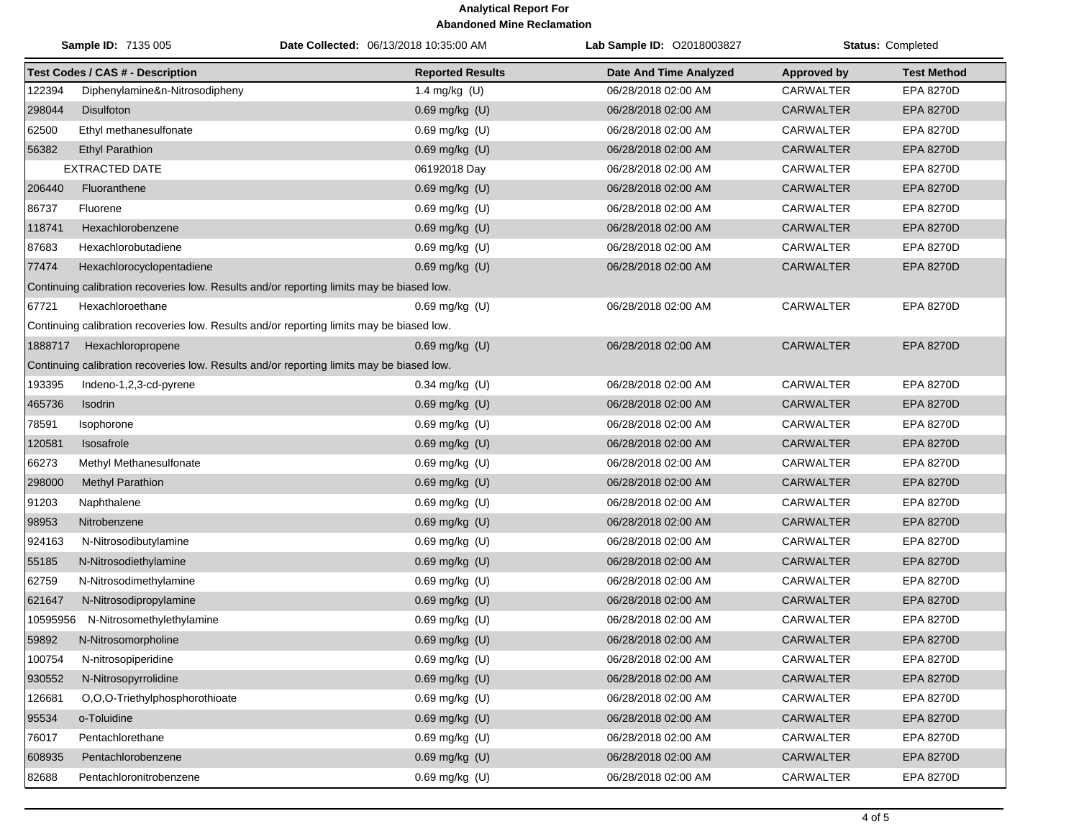|          | <b>Sample ID: 7135 005</b>              | Date Collected: 06/13/2018 10:35:00 AM                                                    | Lab Sample ID: 02018003827    |                    | <b>Status: Completed</b> |
|----------|-----------------------------------------|-------------------------------------------------------------------------------------------|-------------------------------|--------------------|--------------------------|
|          | <b>Test Codes / CAS # - Description</b> | <b>Reported Results</b>                                                                   | <b>Date And Time Analyzed</b> | <b>Approved by</b> | <b>Test Method</b>       |
| 122394   | Diphenylamine&n-Nitrosodipheny          | 1.4 mg/kg (U)                                                                             | 06/28/2018 02:00 AM           | <b>CARWALTER</b>   | EPA 8270D                |
| 298044   | <b>Disulfoton</b>                       | 0.69 mg/kg (U)                                                                            | 06/28/2018 02:00 AM           | <b>CARWALTER</b>   | <b>EPA 8270D</b>         |
| 62500    | Ethyl methanesulfonate                  | 0.69 mg/kg (U)                                                                            | 06/28/2018 02:00 AM           | CARWALTER          | EPA 8270D                |
| 56382    | <b>Ethyl Parathion</b>                  | 0.69 mg/kg (U)                                                                            | 06/28/2018 02:00 AM           | <b>CARWALTER</b>   | EPA 8270D                |
|          | <b>EXTRACTED DATE</b>                   | 06192018 Day                                                                              | 06/28/2018 02:00 AM           | CARWALTER          | EPA 8270D                |
| 206440   | Fluoranthene                            | $0.69$ mg/kg $(U)$                                                                        | 06/28/2018 02:00 AM           | <b>CARWALTER</b>   | <b>EPA 8270D</b>         |
| 86737    | Fluorene                                | 0.69 mg/kg (U)                                                                            | 06/28/2018 02:00 AM           | <b>CARWALTER</b>   | EPA 8270D                |
| 118741   | Hexachlorobenzene                       | 0.69 mg/kg (U)                                                                            | 06/28/2018 02:00 AM           | <b>CARWALTER</b>   | <b>EPA 8270D</b>         |
| 87683    | Hexachlorobutadiene                     | 0.69 mg/kg (U)                                                                            | 06/28/2018 02:00 AM           | <b>CARWALTER</b>   | EPA 8270D                |
| 77474    | Hexachlorocyclopentadiene               | 0.69 mg/kg (U)                                                                            | 06/28/2018 02:00 AM           | <b>CARWALTER</b>   | <b>EPA 8270D</b>         |
|          |                                         | Continuing calibration recoveries low. Results and/or reporting limits may be biased low. |                               |                    |                          |
| 67721    | Hexachloroethane                        | $0.69$ mg/kg $(U)$                                                                        | 06/28/2018 02:00 AM           | CARWALTER          | <b>EPA 8270D</b>         |
|          |                                         | Continuing calibration recoveries low. Results and/or reporting limits may be biased low. |                               |                    |                          |
| 1888717  | Hexachloropropene                       | 0.69 mg/kg (U)                                                                            | 06/28/2018 02:00 AM           | <b>CARWALTER</b>   | <b>EPA 8270D</b>         |
|          |                                         | Continuing calibration recoveries low. Results and/or reporting limits may be biased low. |                               |                    |                          |
| 193395   | Indeno-1,2,3-cd-pyrene                  | $0.34$ mg/kg (U)                                                                          | 06/28/2018 02:00 AM           | CARWALTER          | EPA 8270D                |
| 465736   | Isodrin                                 | 0.69 mg/kg (U)                                                                            | 06/28/2018 02:00 AM           | <b>CARWALTER</b>   | <b>EPA 8270D</b>         |
| 78591    | Isophorone                              | 0.69 mg/kg (U)                                                                            | 06/28/2018 02:00 AM           | <b>CARWALTER</b>   | EPA 8270D                |
| 120581   | Isosafrole                              | 0.69 mg/kg (U)                                                                            | 06/28/2018 02:00 AM           | <b>CARWALTER</b>   | <b>EPA 8270D</b>         |
| 66273    | Methyl Methanesulfonate                 | 0.69 mg/kg (U)                                                                            | 06/28/2018 02:00 AM           | CARWALTER          | EPA 8270D                |
| 298000   | <b>Methyl Parathion</b>                 | 0.69 mg/kg (U)                                                                            | 06/28/2018 02:00 AM           | <b>CARWALTER</b>   | <b>EPA 8270D</b>         |
| 91203    | Naphthalene                             | $0.69$ mg/kg $(U)$                                                                        | 06/28/2018 02:00 AM           | CARWALTER          | EPA 8270D                |
| 98953    | Nitrobenzene                            | 0.69 mg/kg (U)                                                                            | 06/28/2018 02:00 AM           | <b>CARWALTER</b>   | <b>EPA 8270D</b>         |
| 924163   | N-Nitrosodibutylamine                   | 0.69 mg/kg (U)                                                                            | 06/28/2018 02:00 AM           | <b>CARWALTER</b>   | EPA 8270D                |
| 55185    | N-Nitrosodiethylamine                   | 0.69 mg/kg (U)                                                                            | 06/28/2018 02:00 AM           | <b>CARWALTER</b>   | EPA 8270D                |
| 62759    | N-Nitrosodimethylamine                  | 0.69 mg/kg (U)                                                                            | 06/28/2018 02:00 AM           | <b>CARWALTER</b>   | <b>EPA 8270D</b>         |
| 621647   | N-Nitrosodipropylamine                  | 0.69 mg/kg (U)                                                                            | 06/28/2018 02:00 AM           | <b>CARWALTER</b>   | <b>EPA 8270D</b>         |
| 10595956 | N-Nitrosomethylethylamine               | 0.69 mg/kg (U)                                                                            | 06/28/2018 02:00 AM           | CARWALTER          | EPA 8270D                |
| 59892    | N-Nitrosomorpholine                     | 0.69 mg/kg (U)                                                                            | 06/28/2018 02:00 AM           | <b>CARWALTER</b>   | <b>EPA 8270D</b>         |
| 100754   | N-nitrosopiperidine                     | $0.69$ mg/kg $(U)$                                                                        | 06/28/2018 02:00 AM           | <b>CARWALTER</b>   | EPA 8270D                |
| 930552   | N-Nitrosopyrrolidine                    | $0.69$ mg/kg $(U)$                                                                        | 06/28/2018 02:00 AM           | CARWALTER          | EPA 8270D                |
| 126681   | O.O.O-Triethylphosphorothioate          | $0.69$ mg/kg $(U)$                                                                        | 06/28/2018 02:00 AM           | CARWALTER          | EPA 8270D                |
| 95534    | o-Toluidine                             | 0.69 mg/kg (U)                                                                            | 06/28/2018 02:00 AM           | <b>CARWALTER</b>   | <b>EPA 8270D</b>         |
| 76017    | Pentachlorethane                        | 0.69 mg/kg (U)                                                                            | 06/28/2018 02:00 AM           | <b>CARWALTER</b>   | EPA 8270D                |
| 608935   | Pentachlorobenzene                      | 0.69 mg/kg (U)                                                                            | 06/28/2018 02:00 AM           | CARWALTER          | EPA 8270D                |
| 82688    | Pentachloronitrobenzene                 | $0.69$ mg/kg $(U)$                                                                        | 06/28/2018 02:00 AM           | CARWALTER          | EPA 8270D                |